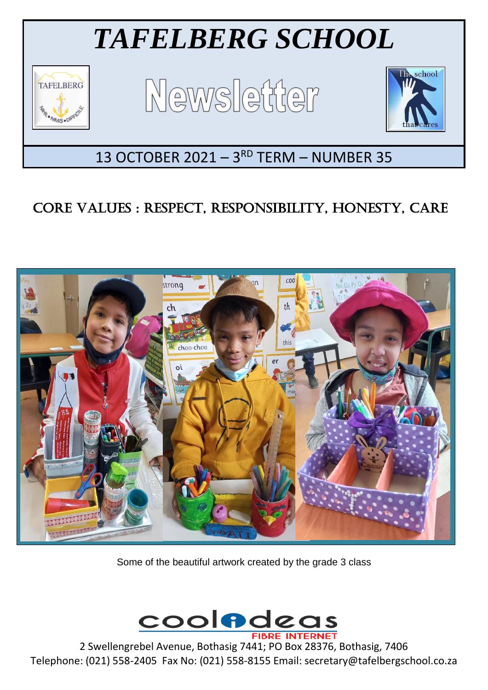

# CORE VALUES : RESPECT, RESPONSIBILITY, HONESTY, CARE

Ξ



Some of the beautiful artwork created by the grade 3 class



2 Swellengrebel Avenue, Bothasig 7441; PO Box 28376, Bothasig, 7406 Telephone: (021) 558-2405 Fax No: (021) 558-8155 Email: secretary@tafelbergschool.co.za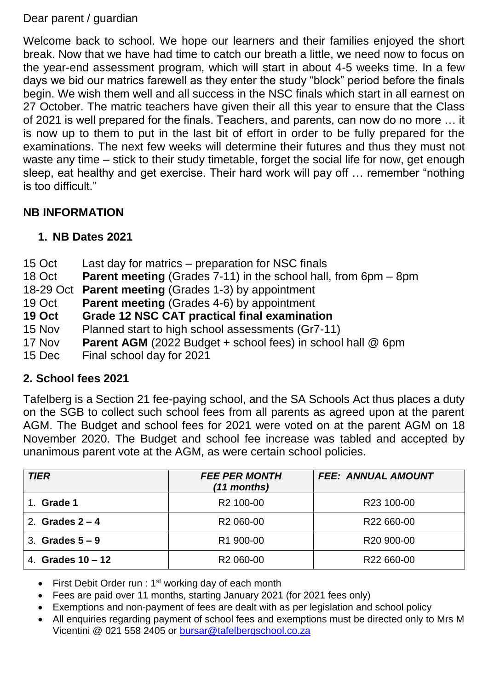#### Dear parent / guardian

Welcome back to school. We hope our learners and their families enjoyed the short break. Now that we have had time to catch our breath a little, we need now to focus on the year-end assessment program, which will start in about 4-5 weeks time. In a few days we bid our matrics farewell as they enter the study "block" period before the finals begin. We wish them well and all success in the NSC finals which start in all earnest on 27 October. The matric teachers have given their all this year to ensure that the Class of 2021 is well prepared for the finals. Teachers, and parents, can now do no more … it is now up to them to put in the last bit of effort in order to be fully prepared for the examinations. The next few weeks will determine their futures and thus they must not waste any time – stick to their study timetable, forget the social life for now, get enough sleep, eat healthy and get exercise. Their hard work will pay off … remember "nothing is too difficult."

# **NB INFORMATION**

# **1. NB Dates 2021**

- 15 Oct Last day for matrics preparation for NSC finals
- 18 Oct **Parent meeting** (Grades 7-11) in the school hall, from 6pm 8pm
- 18-29 Oct **Parent meeting** (Grades 1-3) by appointment
- 19 Oct **Parent meeting** (Grades 4-6) by appointment
- **19 Oct Grade 12 NSC CAT practical final examination**
- 15 Nov Planned start to high school assessments (Gr7-11)
- 17 Nov **Parent AGM** (2022 Budget + school fees) in school hall @ 6pm
- 15 Dec Final school day for 2021

## **2. School fees 2021**

Tafelberg is a Section 21 fee-paying school, and the SA Schools Act thus places a duty on the SGB to collect such school fees from all parents as agreed upon at the parent AGM. The Budget and school fees for 2021 were voted on at the parent AGM on 18 November 2020. The Budget and school fee increase was tabled and accepted by unanimous parent vote at the AGM, as were certain school policies.

| <b>TIER</b>         | <b>FEE PER MONTH</b><br>(11 months) | <b>FEE: ANNUAL AMOUNT</b> |
|---------------------|-------------------------------------|---------------------------|
| Grade 1             | R <sub>2</sub> 100-00               | R23 100-00                |
| 2. Grades $2 - 4$   | R <sub>2</sub> 060-00               | R22 660-00                |
| 3. Grades $5-9$     | R1 900-00                           | R <sub>20</sub> 900-00    |
| 4. Grades $10 - 12$ | R <sub>2</sub> 060-00               | R22 660-00                |

- First Debit Order run :  $1<sup>st</sup>$  working day of each month
- Fees are paid over 11 months, starting January 2021 (for 2021 fees only)
- Exemptions and non-payment of fees are dealt with as per legislation and school policy
- All enquiries regarding payment of school fees and exemptions must be directed only to Mrs M Vicentini @ 021 558 2405 or [bursar@tafelbergschool.co.za](mailto:bursar@tafelbergschool.co.za)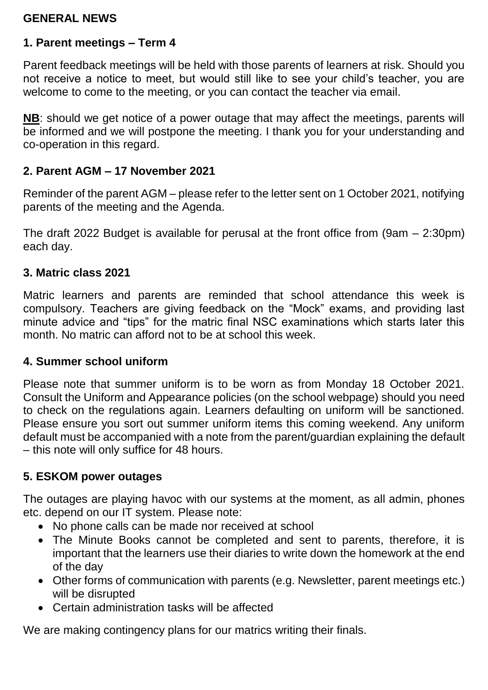#### **GENERAL NEWS**

# **1. Parent meetings – Term 4**

Parent feedback meetings will be held with those parents of learners at risk. Should you not receive a notice to meet, but would still like to see your child's teacher, you are welcome to come to the meeting, or you can contact the teacher via email.

**NB**: should we get notice of a power outage that may affect the meetings, parents will be informed and we will postpone the meeting. I thank you for your understanding and co-operation in this regard.

#### **2. Parent AGM – 17 November 2021**

Reminder of the parent AGM – please refer to the letter sent on 1 October 2021, notifying parents of the meeting and the Agenda.

The draft 2022 Budget is available for perusal at the front office from (9am – 2:30pm) each day.

#### **3. Matric class 2021**

Matric learners and parents are reminded that school attendance this week is compulsory. Teachers are giving feedback on the "Mock" exams, and providing last minute advice and "tips" for the matric final NSC examinations which starts later this month. No matric can afford not to be at school this week.

#### **4. Summer school uniform**

Please note that summer uniform is to be worn as from Monday 18 October 2021. Consult the Uniform and Appearance policies (on the school webpage) should you need to check on the regulations again. Learners defaulting on uniform will be sanctioned. Please ensure you sort out summer uniform items this coming weekend. Any uniform default must be accompanied with a note from the parent/guardian explaining the default – this note will only suffice for 48 hours.

#### **5. ESKOM power outages**

The outages are playing havoc with our systems at the moment, as all admin, phones etc. depend on our IT system. Please note:

- No phone calls can be made nor received at school
- The Minute Books cannot be completed and sent to parents, therefore, it is important that the learners use their diaries to write down the homework at the end of the day
- Other forms of communication with parents (e.g. Newsletter, parent meetings etc.) will be disrupted
- Certain administration tasks will be affected

We are making contingency plans for our matrics writing their finals.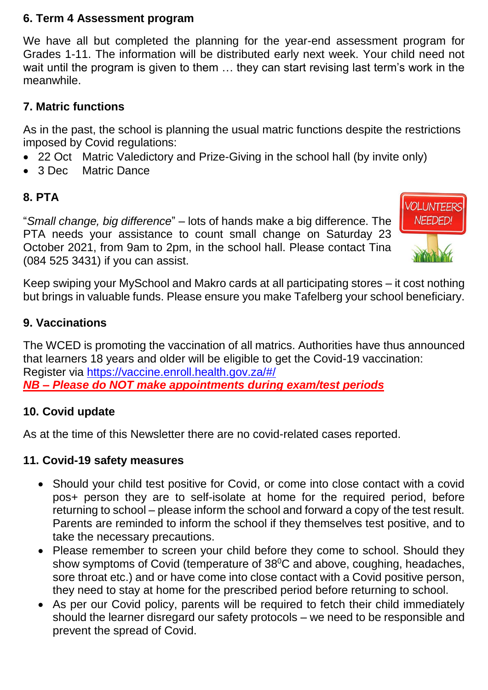## **6. Term 4 Assessment program**

We have all but completed the planning for the year-end assessment program for Grades 1-11. The information will be distributed early next week. Your child need not wait until the program is given to them … they can start revising last term's work in the meanwhile.

## **7. Matric functions**

As in the past, the school is planning the usual matric functions despite the restrictions imposed by Covid regulations:

- 22 Oct Matric Valedictory and Prize-Giving in the school hall (by invite only)
- 3 Dec Matric Dance

## **8. PTA**

"*Small change, big difference*" – lots of hands make a big difference. The PTA needs your assistance to count small change on Saturday 23 October 2021, from 9am to 2pm, in the school hall. Please contact Tina (084 525 3431) if you can assist.



Keep swiping your MySchool and Makro cards at all participating stores – it cost nothing but brings in valuable funds. Please ensure you make Tafelberg your school beneficiary.

## **9. Vaccinations**

The WCED is promoting the vaccination of all matrics. Authorities have thus announced that learners 18 years and older will be eligible to get the Covid-19 vaccination: Register via <https://vaccine.enroll.health.gov.za/#/> *NB – Please do NOT make appointments during exam/test periods*

## **10. Covid update**

As at the time of this Newsletter there are no covid-related cases reported.

#### **11. Covid-19 safety measures**

- Should your child test positive for Covid, or come into close contact with a covid pos+ person they are to self-isolate at home for the required period, before returning to school – please inform the school and forward a copy of the test result. Parents are reminded to inform the school if they themselves test positive, and to take the necessary precautions.
- Please remember to screen your child before they come to school. Should they show symptoms of Covid (temperature of 38<sup>°</sup>C and above, coughing, headaches, sore throat etc.) and or have come into close contact with a Covid positive person, they need to stay at home for the prescribed period before returning to school.
- As per our Covid policy, parents will be required to fetch their child immediately should the learner disregard our safety protocols – we need to be responsible and prevent the spread of Covid.